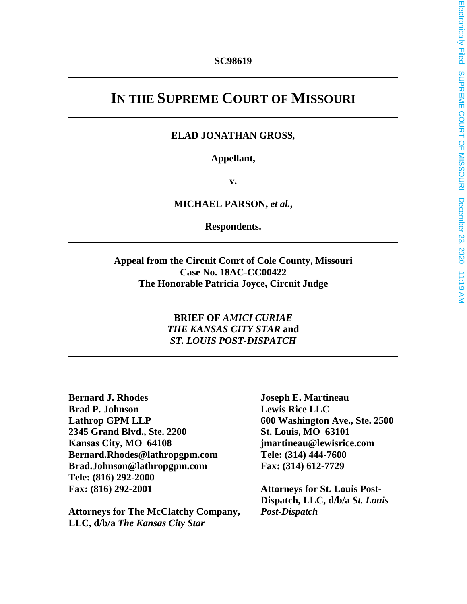# **IN THE SUPREME COURT OF MISSOURI**

#### **ELAD JONATHAN GROSS***,*

#### **Appellant,**

**v.** 

#### **MICHAEL PARSON,** *et al.***,**

**Respondents.** 

**Appeal from the Circuit Court of Cole County, Missouri Case No. 18AC-CC00422 The Honorable Patricia Joyce, Circuit Judge** 

#### **BRIEF OF** *AMICI CURIAE THE KANSAS CITY STAR* **and**  *ST. LOUIS POST-DISPATCH*

**Bernard J. Rhodes Joseph E. Martineau Brad P. Johnson** Lewis Rice LLC **Lathrop GPM LLP 600 Washington Ave., Ste. 2500 2345 Grand Blvd., Ste. 2200 St. Louis, MO 63101 Kansas City, MO 64108 jmartineau@lewisrice.com Bernard.Rhodes@lathropgpm.com Tele: (314) 444-7600 Brad.Johnson@lathropgpm.com Fax: (314) 612-7729 Tele: (816) 292-2000 Fax: (816) 292-2001 Attorneys for St. Louis Post-**

**Attorneys for The McClatchy Company,** *Post-Dispatch* **LLC, d/b/a** *The Kansas City Star* 

**Dispatch, LLC, d/b/a** *St. Louis*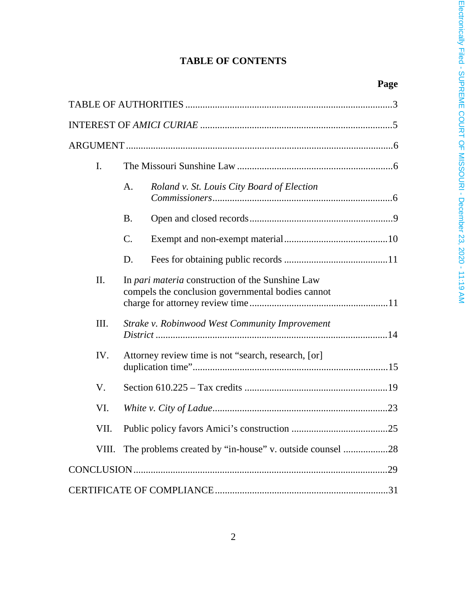## **TABLE OF CONTENTS**

**Page**

| I.   |                                                                                                       |                                            |  |
|------|-------------------------------------------------------------------------------------------------------|--------------------------------------------|--|
|      | A.                                                                                                    | Roland v. St. Louis City Board of Election |  |
|      | <b>B.</b>                                                                                             |                                            |  |
|      | C.                                                                                                    |                                            |  |
|      | D.                                                                                                    |                                            |  |
| II.  | In pari materia construction of the Sunshine Law<br>compels the conclusion governmental bodies cannot |                                            |  |
| III. | Strake v. Robinwood West Community Improvement                                                        |                                            |  |
| IV.  | Attorney review time is not "search, research, [or]                                                   |                                            |  |
| V.   |                                                                                                       |                                            |  |
| VI.  |                                                                                                       |                                            |  |
| VII. |                                                                                                       |                                            |  |
|      | VIII. The problems created by "in-house" v. outside counsel 28                                        |                                            |  |
|      |                                                                                                       |                                            |  |
|      |                                                                                                       |                                            |  |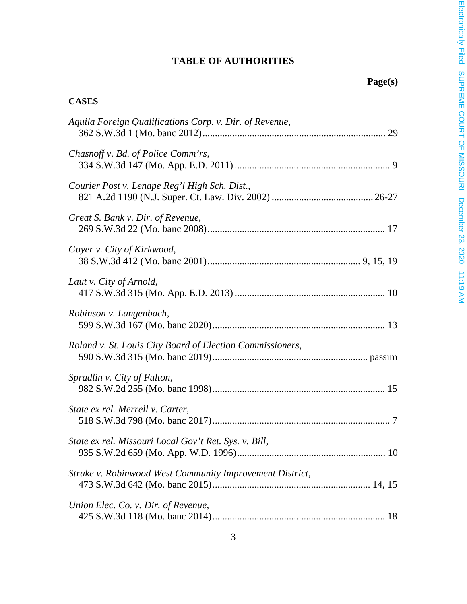# **TABLE OF AUTHORITIES**

# **Page(s)**

## **CASES**

| Aquila Foreign Qualifications Corp. v. Dir. of Revenue,   |
|-----------------------------------------------------------|
| Chasnoff v. Bd. of Police Comm'rs,                        |
| Courier Post v. Lenape Reg'l High Sch. Dist.,             |
| Great S. Bank v. Dir. of Revenue,                         |
| Guyer v. City of Kirkwood,                                |
| Laut v. City of Arnold,                                   |
| Robinson v. Langenbach,                                   |
| Roland v. St. Louis City Board of Election Commissioners, |
| Spradlin v. City of Fulton,                               |
| State ex rel. Merrell v. Carter,                          |
| State ex rel. Missouri Local Gov't Ret. Sys. v. Bill,     |
| Strake v. Robinwood West Community Improvement District,  |
| Union Elec. Co. v. Dir. of Revenue,                       |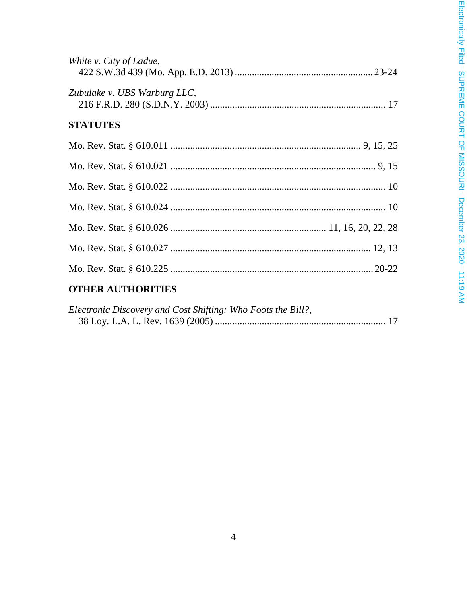| White v. City of Ladue,                            |
|----------------------------------------------------|
| Zubulake v. UBS Warburg LLC,                       |
| <b>STATUTES</b>                                    |
|                                                    |
|                                                    |
|                                                    |
|                                                    |
|                                                    |
|                                                    |
|                                                    |
| $\sim$ ------- $\sim$ ------- $\sim$ ------ $\sim$ |

## **OTHER AUTHORITIES**

| Electronic Discovery and Cost Shifting: Who Foots the Bill?, |  |
|--------------------------------------------------------------|--|
|                                                              |  |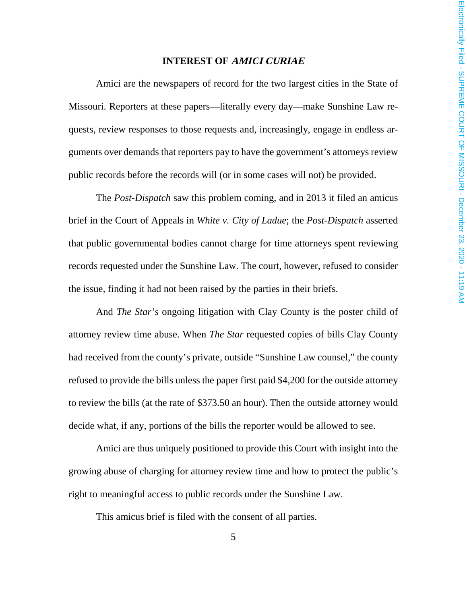#### **INTEREST OF AMICI CURIAE**

Amici are the newspapers of record for the two largest cities in the State of Missouri. Reporters at these papers—literally every day—make Sunshine Law requests, review responses to those requests and, increasingly, engage in endless arguments over demands that reporters pay to have the government's attorneys review public records before the records will (or in some cases will not) be provided.

The *Post-Dispatch* saw this problem coming, and in 2013 it filed an amicus brief in the Court of Appeals in *White v. City of Ladue*; the *Post-Dispatch* asserted that public governmental bodies cannot charge for time attorneys spent reviewing records requested under the Sunshine Law. The court, however, refused to consider the issue, finding it had not been raised by the parties in their briefs.

And *The Star's* ongoing litigation with Clay County is the poster child of attorney review time abuse. When *The Star* requested copies of bills Clay County had received from the county's private, outside "Sunshine Law counsel," the county refused to provide the bills unless the paper first paid \$4,200 for the outside attorney to review the bills (at the rate of \$373.50 an hour). Then the outside attorney would decide what, if any, portions of the bills the reporter would be allowed to see.

Amici are thus uniquely positioned to provide this Court with insight into the growing abuse of charging for attorney review time and how to protect the public's right to meaningful access to public records under the Sunshine Law.

This amicus brief is filed with the consent of all parties.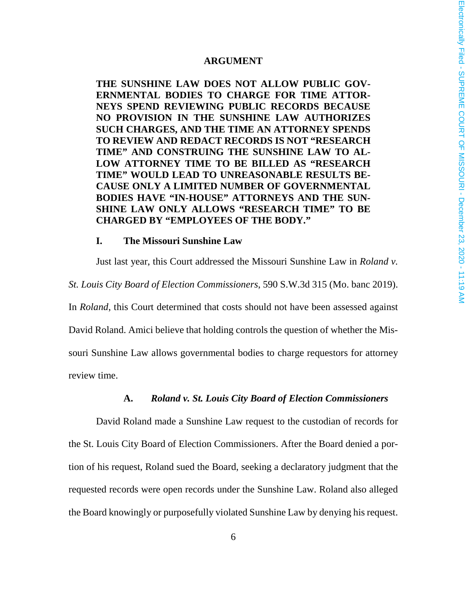#### **ARGUMENT**

**THE SUNSHINE LAW DOES NOT ALLOW PUBLIC GOV-ERNMENTAL BODIES TO CHARGE FOR TIME ATTOR-NEYS SPEND REVIEWING PUBLIC RECORDS BECAUSE NO PROVISION IN THE SUNSHINE LAW AUTHORIZES SUCH CHARGES, AND THE TIME AN ATTORNEY SPENDS TO REVIEW AND REDACT RECORDS IS NOT "RESEARCH TIME" AND CONSTRUING THE SUNSHINE LAW TO AL-LOW ATTORNEY TIME TO BE BILLED AS "RESEARCH TIME" WOULD LEAD TO UNREASONABLE RESULTS BE-CAUSE ONLY A LIMITED NUMBER OF GOVERNMENTAL BODIES HAVE "IN-HOUSE" ATTORNEYS AND THE SUN-SHINE LAW ONLY ALLOWS "RESEARCH TIME" TO BE CHARGED BY "EMPLOYEES OF THE BODY."** 

#### **I. The Missouri Sunshine Law**

Just last year, this Court addressed the Missouri Sunshine Law in *Roland v. St. Louis City Board of Election Commissioners*, 590 S.W.3d 315 (Mo. banc 2019). In *Roland*, this Court determined that costs should not have been assessed against David Roland. Amici believe that holding controls the question of whether the Missouri Sunshine Law allows governmental bodies to charge requestors for attorney review time.

#### **A.** *Roland v. St. Louis City Board of Election Commissioners*

David Roland made a Sunshine Law request to the custodian of records for the St. Louis City Board of Election Commissioners. After the Board denied a portion of his request, Roland sued the Board, seeking a declaratory judgment that the requested records were open records under the Sunshine Law. Roland also alleged the Board knowingly or purposefully violated Sunshine Law by denying his request.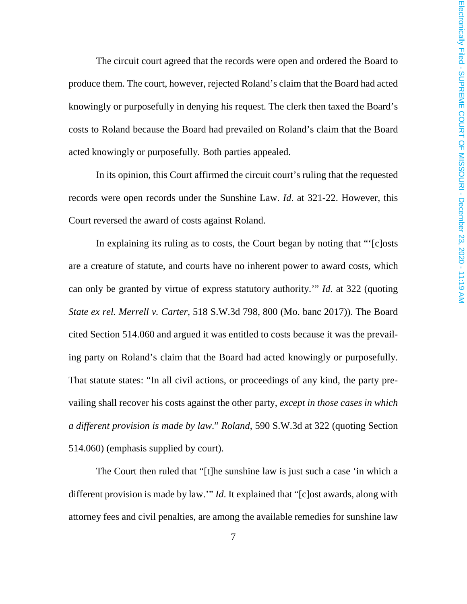The circuit court agreed that the records were open and ordered the Board to produce them. The court, however, rejected Roland's claim that the Board had acted knowingly or purposefully in denying his request. The clerk then taxed the Board's costs to Roland because the Board had prevailed on Roland's claim that the Board acted knowingly or purposefully. Both parties appealed.

In its opinion, this Court affirmed the circuit court's ruling that the requested records were open records under the Sunshine Law. *Id*. at 321-22. However, this Court reversed the award of costs against Roland.

In explaining its ruling as to costs, the Court began by noting that "'[c]osts are a creature of statute, and courts have no inherent power to award costs, which can only be granted by virtue of express statutory authority.'" *Id*. at 322 (quoting *State ex rel. Merrell v. Carter*, 518 S.W.3d 798, 800 (Mo. banc 2017)). The Board cited Section 514.060 and argued it was entitled to costs because it was the prevailing party on Roland's claim that the Board had acted knowingly or purposefully. That statute states: "In all civil actions, or proceedings of any kind, the party prevailing shall recover his costs against the other party, *except in those cases in which a different provision is made by law*." *Roland*, 590 S.W.3d at 322 (quoting Section 514.060) (emphasis supplied by court).

The Court then ruled that "[t]he sunshine law is just such a case 'in which a different provision is made by law.'" *Id*. It explained that "[c]ost awards, along with attorney fees and civil penalties, are among the available remedies for sunshine law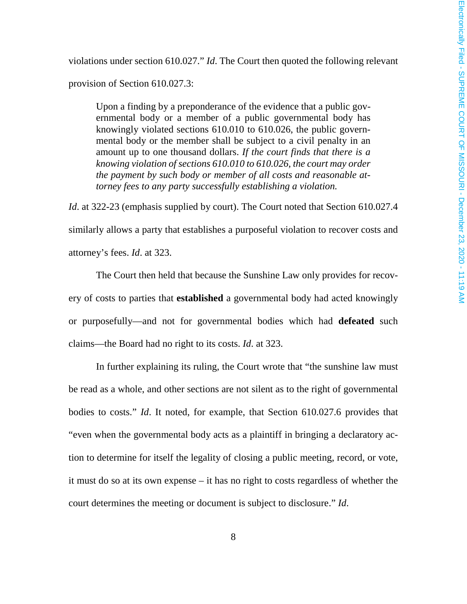violations under section 610.027." *Id*. The Court then quoted the following relevant provision of Section 610.027.3:

Upon a finding by a preponderance of the evidence that a public governmental body or a member of a public governmental body has knowingly violated sections 610.010 to 610.026, the public governmental body or the member shall be subject to a civil penalty in an amount up to one thousand dollars. *If the court finds that there is a knowing violation of sections 610.010 to 610.026, the court may order the payment by such body or member of all costs and reasonable attorney fees to any party successfully establishing a violation.*

*Id*. at 322-23 (emphasis supplied by court). The Court noted that Section 610.027.4 similarly allows a party that establishes a purposeful violation to recover costs and attorney's fees. *Id*. at 323.

The Court then held that because the Sunshine Law only provides for recovery of costs to parties that **established** a governmental body had acted knowingly or purposefully—and not for governmental bodies which had **defeated** such claims—the Board had no right to its costs. *Id*. at 323.

In further explaining its ruling, the Court wrote that "the sunshine law must be read as a whole, and other sections are not silent as to the right of governmental bodies to costs." *Id*. It noted, for example, that Section 610.027.6 provides that "even when the governmental body acts as a plaintiff in bringing a declaratory action to determine for itself the legality of closing a public meeting, record, or vote, it must do so at its own expense – it has no right to costs regardless of whether the court determines the meeting or document is subject to disclosure." *Id*.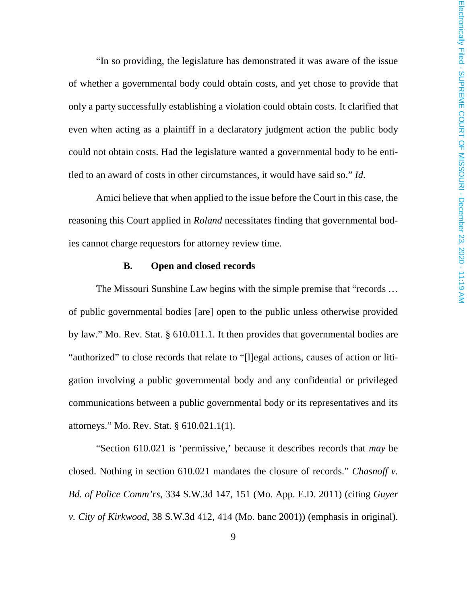"In so providing, the legislature has demonstrated it was aware of the issue of whether a governmental body could obtain costs, and yet chose to provide that only a party successfully establishing a violation could obtain costs. It clarified that even when acting as a plaintiff in a declaratory judgment action the public body could not obtain costs. Had the legislature wanted a governmental body to be entitled to an award of costs in other circumstances, it would have said so." *Id*.

Amici believe that when applied to the issue before the Court in this case, the reasoning this Court applied in *Roland* necessitates finding that governmental bodies cannot charge requestors for attorney review time.

#### **B. Open and closed records**

The Missouri Sunshine Law begins with the simple premise that "records … of public governmental bodies [are] open to the public unless otherwise provided by law." Mo. Rev. Stat. § 610.011.1. It then provides that governmental bodies are "authorized" to close records that relate to "[l]egal actions, causes of action or litigation involving a public governmental body and any confidential or privileged communications between a public governmental body or its representatives and its attorneys." Mo. Rev. Stat. § 610.021.1(1).

"Section 610.021 is 'permissive,' because it describes records that *may* be closed. Nothing in section 610.021 mandates the closure of records." *Chasnoff v. Bd. of Police Comm'rs*, 334 S.W.3d 147, 151 (Mo. App. E.D. 2011) (citing *Guyer v. City of Kirkwood*, 38 S.W.3d 412, 414 (Mo. banc 2001)) (emphasis in original).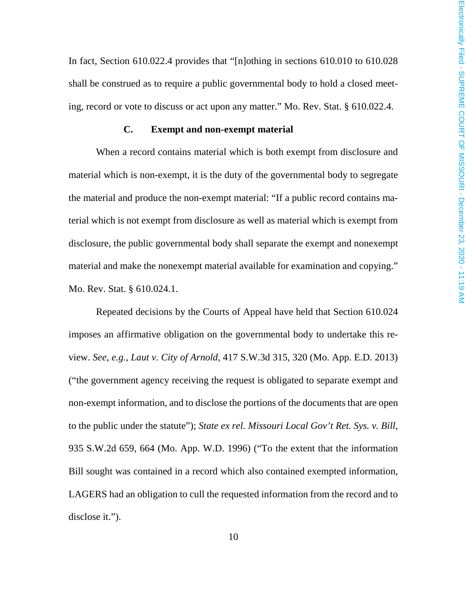In fact, Section 610.022.4 provides that "[n]othing in sections 610.010 to 610.028 shall be construed as to require a public governmental body to hold a closed meeting, record or vote to discuss or act upon any matter." Mo. Rev. Stat. § 610.022.4.

#### **C. Exempt and non-exempt material**

When a record contains material which is both exempt from disclosure and material which is non-exempt, it is the duty of the governmental body to segregate the material and produce the non-exempt material: "If a public record contains material which is not exempt from disclosure as well as material which is exempt from disclosure, the public governmental body shall separate the exempt and nonexempt material and make the nonexempt material available for examination and copying." Mo. Rev. Stat. § 610.024.1.

Repeated decisions by the Courts of Appeal have held that Section 610.024 imposes an affirmative obligation on the governmental body to undertake this review. *See, e.g., Laut v. City of Arnold*, 417 S.W.3d 315, 320 (Mo. App. E.D. 2013) ("the government agency receiving the request is obligated to separate exempt and non-exempt information, and to disclose the portions of the documents that are open to the public under the statute"); *State ex rel. Missouri Local Gov't Ret. Sys. v. Bill*, 935 S.W.2d 659, 664 (Mo. App. W.D. 1996) ("To the extent that the information Bill sought was contained in a record which also contained exempted information, LAGERS had an obligation to cull the requested information from the record and to disclose it.").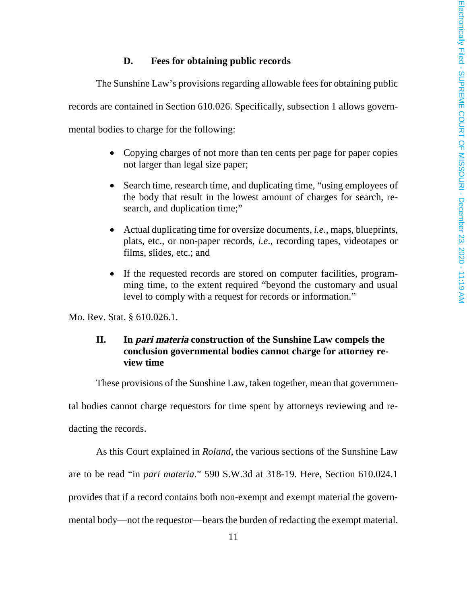#### **D. Fees for obtaining public records**

The Sunshine Law's provisions regarding allowable fees for obtaining public records are contained in Section 610.026. Specifically, subsection 1 allows governmental bodies to charge for the following:

- Copying charges of not more than ten cents per page for paper copies not larger than legal size paper;
- Search time, research time, and duplicating time, "using employees of the body that result in the lowest amount of charges for search, research, and duplication time;"
- Actual duplicating time for oversize documents, *i.e*., maps, blueprints, plats, etc., or non-paper records, *i.e*., recording tapes, videotapes or films, slides, etc.; and
- If the requested records are stored on computer facilities, programming time, to the extent required "beyond the customary and usual level to comply with a request for records or information."

Mo. Rev. Stat. § 610.026.1.

### **II. In pari materia construction of the Sunshine Law compels the conclusion governmental bodies cannot charge for attorney review time**

These provisions of the Sunshine Law, taken together, mean that governmen-

tal bodies cannot charge requestors for time spent by attorneys reviewing and re-

dacting the records.

As this Court explained in *Roland*, the various sections of the Sunshine Law are to be read "in *pari materia*." 590 S.W.3d at 318-19. Here, Section 610.024.1 provides that if a record contains both non-exempt and exempt material the governmental body—not the requestor—bears the burden of redacting the exempt material.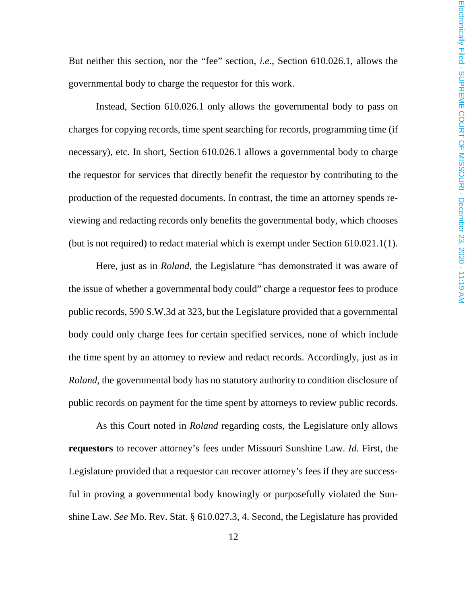But neither this section, nor the "fee" section, *i.e*., Section 610.026.1, allows the governmental body to charge the requestor for this work.

Instead, Section 610.026.1 only allows the governmental body to pass on charges for copying records, time spent searching for records, programming time (if necessary), etc. In short, Section 610.026.1 allows a governmental body to charge the requestor for services that directly benefit the requestor by contributing to the production of the requested documents. In contrast, the time an attorney spends reviewing and redacting records only benefits the governmental body, which chooses (but is not required) to redact material which is exempt under Section 610.021.1(1).

Here, just as in *Roland*, the Legislature "has demonstrated it was aware of the issue of whether a governmental body could" charge a requestor fees to produce public records, 590 S.W.3d at 323, but the Legislature provided that a governmental body could only charge fees for certain specified services, none of which include the time spent by an attorney to review and redact records. Accordingly, just as in *Roland*, the governmental body has no statutory authority to condition disclosure of public records on payment for the time spent by attorneys to review public records.

As this Court noted in *Roland* regarding costs, the Legislature only allows **requestors** to recover attorney's fees under Missouri Sunshine Law. *Id.* First, the Legislature provided that a requestor can recover attorney's fees if they are successful in proving a governmental body knowingly or purposefully violated the Sunshine Law. *See* Mo. Rev. Stat. § 610.027.3, 4. Second, the Legislature has provided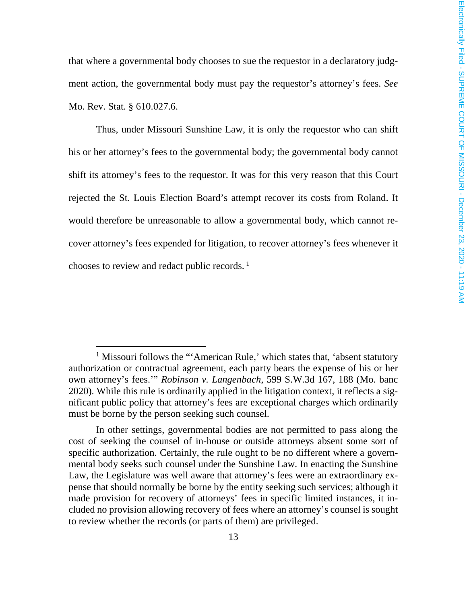that where a governmental body chooses to sue the requestor in a declaratory judgment action, the governmental body must pay the requestor's attorney's fees. *See* Mo. Rev. Stat. § 610.027.6.

Thus, under Missouri Sunshine Law, it is only the requestor who can shift his or her attorney's fees to the governmental body; the governmental body cannot shift its attorney's fees to the requestor. It was for this very reason that this Court rejected the St. Louis Election Board's attempt recover its costs from Roland. It would therefore be unreasonable to allow a governmental body, which cannot recover attorney's fees expended for litigation, to recover attorney's fees whenever it chooses to review and redact public records.<sup>1</sup>

<sup>&</sup>lt;sup>1</sup> Missouri follows the "'American Rule,' which states that, 'absent statutory authorization or contractual agreement, each party bears the expense of his or her own attorney's fees.'" *Robinson v. Langenbach*, 599 S.W.3d 167, 188 (Mo. banc 2020). While this rule is ordinarily applied in the litigation context, it reflects a significant public policy that attorney's fees are exceptional charges which ordinarily must be borne by the person seeking such counsel.

In other settings, governmental bodies are not permitted to pass along the cost of seeking the counsel of in-house or outside attorneys absent some sort of specific authorization. Certainly, the rule ought to be no different where a governmental body seeks such counsel under the Sunshine Law. In enacting the Sunshine Law, the Legislature was well aware that attorney's fees were an extraordinary expense that should normally be borne by the entity seeking such services; although it made provision for recovery of attorneys' fees in specific limited instances, it included no provision allowing recovery of fees where an attorney's counsel is sought to review whether the records (or parts of them) are privileged.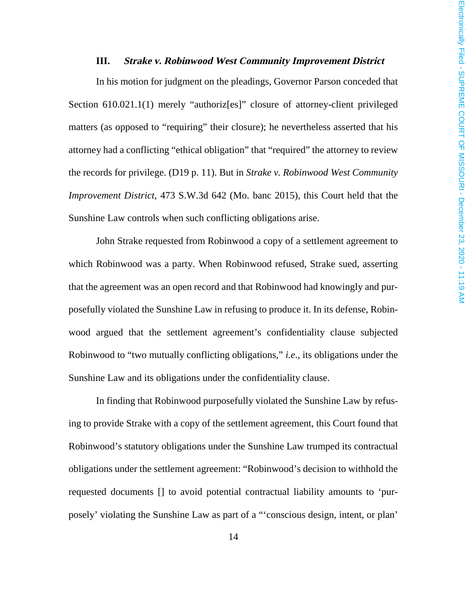#### **III. Strake v. Robinwood West Community Improvement District**

In his motion for judgment on the pleadings, Governor Parson conceded that Section 610.021.1(1) merely "authoriz[es]" closure of attorney-client privileged matters (as opposed to "requiring" their closure); he nevertheless asserted that his attorney had a conflicting "ethical obligation" that "required" the attorney to review the records for privilege. (D19 p. 11). But in *Strake v. Robinwood West Community Improvement District*, 473 S.W.3d 642 (Mo. banc 2015), this Court held that the Sunshine Law controls when such conflicting obligations arise.

John Strake requested from Robinwood a copy of a settlement agreement to which Robinwood was a party. When Robinwood refused, Strake sued, asserting that the agreement was an open record and that Robinwood had knowingly and purposefully violated the Sunshine Law in refusing to produce it. In its defense, Robinwood argued that the settlement agreement's confidentiality clause subjected Robinwood to "two mutually conflicting obligations," *i.e*., its obligations under the Sunshine Law and its obligations under the confidentiality clause.

In finding that Robinwood purposefully violated the Sunshine Law by refusing to provide Strake with a copy of the settlement agreement, this Court found that Robinwood's statutory obligations under the Sunshine Law trumped its contractual obligations under the settlement agreement: "Robinwood's decision to withhold the requested documents [] to avoid potential contractual liability amounts to 'purposely' violating the Sunshine Law as part of a "'conscious design, intent, or plan'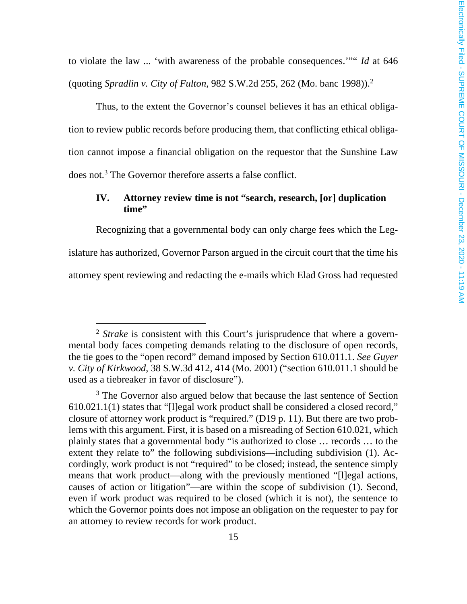to violate the law ... 'with awareness of the probable consequences.'"" *Id* at 646 (quoting *Spradlin v. City of Fulton*, 982 S.W.2d 255, 262 (Mo. banc 1998)).<sup>2</sup>

Thus, to the extent the Governor's counsel believes it has an ethical obligation to review public records before producing them, that conflicting ethical obligation cannot impose a financial obligation on the requestor that the Sunshine Law does not.<sup>3</sup> The Governor therefore asserts a false conflict.

#### **IV. Attorney review time is not "search, research, [or] duplication time"**

Recognizing that a governmental body can only charge fees which the Legislature has authorized, Governor Parson argued in the circuit court that the time his attorney spent reviewing and redacting the e-mails which Elad Gross had requested

<sup>2</sup> *Strake* is consistent with this Court's jurisprudence that where a governmental body faces competing demands relating to the disclosure of open records, the tie goes to the "open record" demand imposed by Section 610.011.1. *See Guyer v. City of Kirkwood*, 38 S.W.3d 412, 414 (Mo. 2001) ("section 610.011.1 should be used as a tiebreaker in favor of disclosure").

<sup>&</sup>lt;sup>3</sup> The Governor also argued below that because the last sentence of Section 610.021.1(1) states that "[l]egal work product shall be considered a closed record," closure of attorney work product is "required." (D19 p. 11). But there are two problems with this argument. First, it is based on a misreading of Section 610.021, which plainly states that a governmental body "is authorized to close … records … to the extent they relate to" the following subdivisions—including subdivision (1). Accordingly, work product is not "required" to be closed; instead, the sentence simply means that work product—along with the previously mentioned "[l]egal actions, causes of action or litigation"—are within the scope of subdivision (1). Second, even if work product was required to be closed (which it is not), the sentence to which the Governor points does not impose an obligation on the requester to pay for an attorney to review records for work product.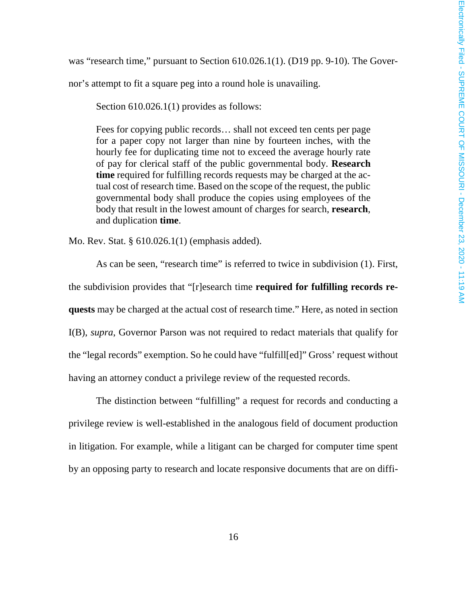was "research time," pursuant to Section 610.026.1(1). (D19 pp. 9-10). The Gover-

nor's attempt to fit a square peg into a round hole is unavailing.

Section 610.026.1(1) provides as follows:

Fees for copying public records… shall not exceed ten cents per page for a paper copy not larger than nine by fourteen inches, with the hourly fee for duplicating time not to exceed the average hourly rate of pay for clerical staff of the public governmental body. **Research time** required for fulfilling records requests may be charged at the actual cost of research time. Based on the scope of the request, the public governmental body shall produce the copies using employees of the body that result in the lowest amount of charges for search, **research**, and duplication **time**.

Mo. Rev. Stat. § 610.026.1(1) (emphasis added).

As can be seen, "research time" is referred to twice in subdivision (1). First, the subdivision provides that "[r]esearch time **required for fulfilling records requests** may be charged at the actual cost of research time." Here, as noted in section I(B), *supra*, Governor Parson was not required to redact materials that qualify for the "legal records" exemption. So he could have "fulfill[ed]" Gross' request without having an attorney conduct a privilege review of the requested records.

The distinction between "fulfilling" a request for records and conducting a privilege review is well-established in the analogous field of document production in litigation. For example, while a litigant can be charged for computer time spent by an opposing party to research and locate responsive documents that are on diffi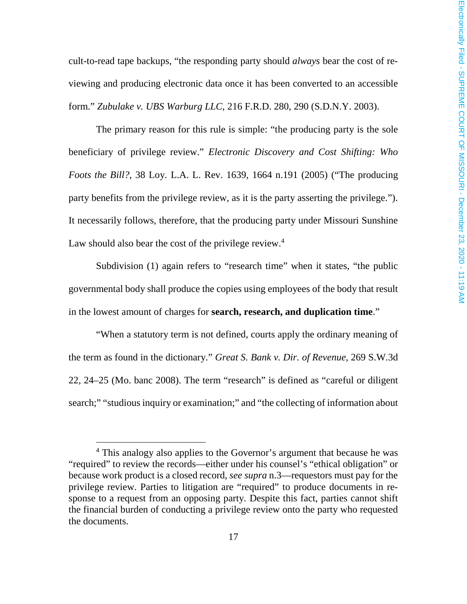cult-to-read tape backups, "the responding party should *always* bear the cost of reviewing and producing electronic data once it has been converted to an accessible form." *Zubulake v. UBS Warburg LLC*, 216 F.R.D. 280, 290 (S.D.N.Y. 2003).

The primary reason for this rule is simple: "the producing party is the sole beneficiary of privilege review." *Electronic Discovery and Cost Shifting: Who Foots the Bill?*, 38 Loy. L.A. L. Rev. 1639, 1664 n.191 (2005) ("The producing party benefits from the privilege review, as it is the party asserting the privilege."). It necessarily follows, therefore, that the producing party under Missouri Sunshine Law should also bear the cost of the privilege review.<sup>4</sup>

Subdivision (1) again refers to "research time" when it states, "the public governmental body shall produce the copies using employees of the body that result in the lowest amount of charges for **search, research, and duplication time**."

"When a statutory term is not defined, courts apply the ordinary meaning of the term as found in the dictionary." *Great S. Bank v. Dir. of Revenue*, 269 S.W.3d 22, 24–25 (Mo. banc 2008). The term "research" is defined as "careful or diligent search;" "studious inquiry or examination;" and "the collecting of information about

<sup>&</sup>lt;sup>4</sup> This analogy also applies to the Governor's argument that because he was "required" to review the records—either under his counsel's "ethical obligation" or because work product is a closed record, *see supra* n.3—requestors must pay for the privilege review. Parties to litigation are "required" to produce documents in response to a request from an opposing party. Despite this fact, parties cannot shift the financial burden of conducting a privilege review onto the party who requested the documents.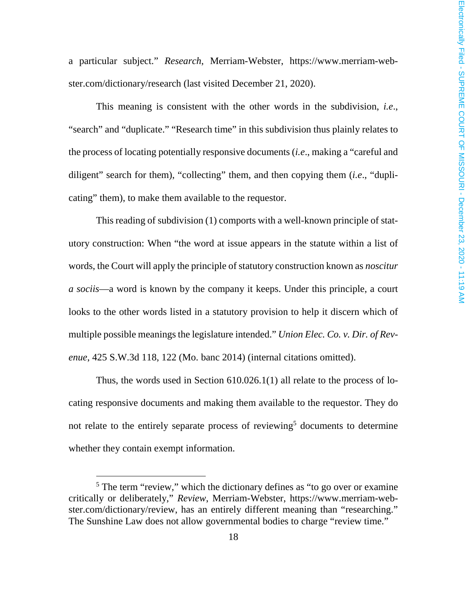a particular subject." *Research*, Merriam-Webster, https://www.merriam-webster.com/dictionary/research (last visited December 21, 2020).

This meaning is consistent with the other words in the subdivision, *i.e*., "search" and "duplicate." "Research time" in this subdivision thus plainly relates to the process of locating potentially responsive documents (*i.e*., making a "careful and diligent" search for them), "collecting" them, and then copying them (*i.e*., "duplicating" them), to make them available to the requestor.

This reading of subdivision (1) comports with a well-known principle of statutory construction: When "the word at issue appears in the statute within a list of words, the Court will apply the principle of statutory construction known as *noscitur a sociis*—a word is known by the company it keeps. Under this principle, a court looks to the other words listed in a statutory provision to help it discern which of multiple possible meanings the legislature intended." *Union Elec. Co. v. Dir. of Revenue*, 425 S.W.3d 118, 122 (Mo. banc 2014) (internal citations omitted).

Thus, the words used in Section 610.026.1(1) all relate to the process of locating responsive documents and making them available to the requestor. They do not relate to the entirely separate process of reviewing<sup>5</sup> documents to determine whether they contain exempt information.

<sup>&</sup>lt;sup>5</sup> The term "review," which the dictionary defines as "to go over or examine critically or deliberately," *Review*, Merriam-Webster, https://www.merriam-webster.com/dictionary/review, has an entirely different meaning than "researching." The Sunshine Law does not allow governmental bodies to charge "review time."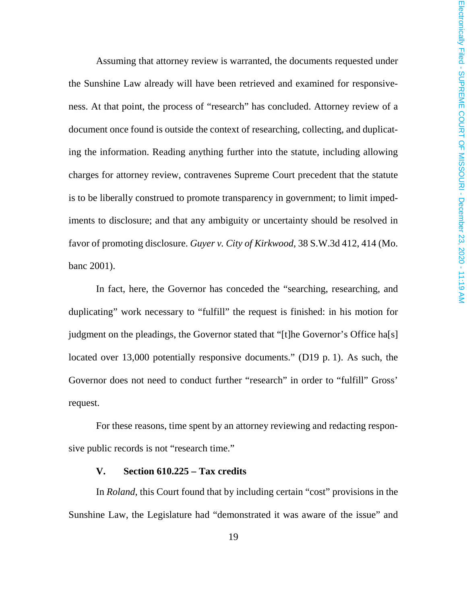Assuming that attorney review is warranted, the documents requested under the Sunshine Law already will have been retrieved and examined for responsiveness. At that point, the process of "research" has concluded. Attorney review of a document once found is outside the context of researching, collecting, and duplicating the information. Reading anything further into the statute, including allowing charges for attorney review, contravenes Supreme Court precedent that the statute is to be liberally construed to promote transparency in government; to limit impediments to disclosure; and that any ambiguity or uncertainty should be resolved in favor of promoting disclosure. *Guyer v. City of Kirkwood*, 38 S.W.3d 412, 414 (Mo. banc 2001).

In fact, here, the Governor has conceded the "searching, researching, and duplicating" work necessary to "fulfill" the request is finished: in his motion for judgment on the pleadings, the Governor stated that "[t]he Governor's Office ha[s] located over 13,000 potentially responsive documents." (D19 p. 1). As such, the Governor does not need to conduct further "research" in order to "fulfill" Gross' request.

For these reasons, time spent by an attorney reviewing and redacting responsive public records is not "research time."

#### **V. Section 610.225 – Tax credits**

In *Roland*, this Court found that by including certain "cost" provisions in the Sunshine Law, the Legislature had "demonstrated it was aware of the issue" and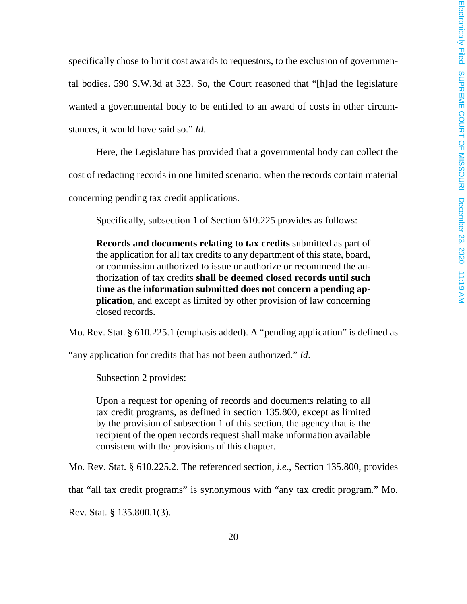specifically chose to limit cost awards to requestors, to the exclusion of governmental bodies. 590 S.W.3d at 323. So, the Court reasoned that "[h]ad the legislature wanted a governmental body to be entitled to an award of costs in other circumstances, it would have said so." *Id*.

Here, the Legislature has provided that a governmental body can collect the cost of redacting records in one limited scenario: when the records contain material concerning pending tax credit applications.

Specifically, subsection 1 of Section 610.225 provides as follows:

**Records and documents relating to tax credits** submitted as part of the application for all tax credits to any department of this state, board, or commission authorized to issue or authorize or recommend the authorization of tax credits **shall be deemed closed records until such time as the information submitted does not concern a pending application**, and except as limited by other provision of law concerning closed records.

Mo. Rev. Stat. § 610.225.1 (emphasis added). A "pending application" is defined as

"any application for credits that has not been authorized." *Id*.

Subsection 2 provides:

Upon a request for opening of records and documents relating to all tax credit programs, as defined in section 135.800, except as limited by the provision of subsection 1 of this section, the agency that is the recipient of the open records request shall make information available consistent with the provisions of this chapter.

Mo. Rev. Stat. § 610.225.2. The referenced section, *i.e*., Section 135.800, provides

that "all tax credit programs" is synonymous with "any tax credit program." Mo.

Rev. Stat. § 135.800.1(3).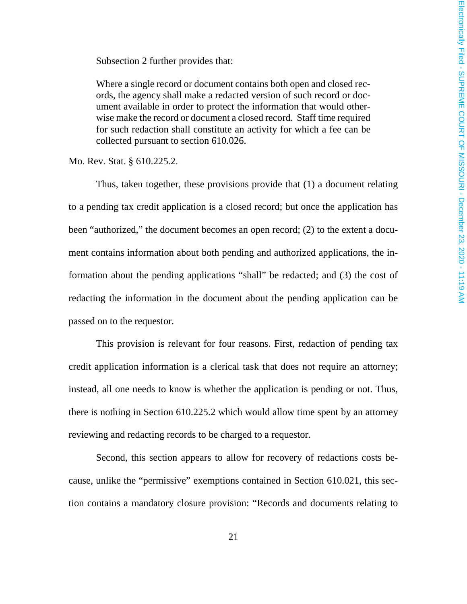Subsection 2 further provides that:

Where a single record or document contains both open and closed records, the agency shall make a redacted version of such record or document available in order to protect the information that would otherwise make the record or document a closed record. Staff time required for such redaction shall constitute an activity for which a fee can be collected pursuant to section 610.026.

Mo. Rev. Stat. § 610.225.2.

Thus, taken together, these provisions provide that (1) a document relating to a pending tax credit application is a closed record; but once the application has been "authorized," the document becomes an open record; (2) to the extent a document contains information about both pending and authorized applications, the information about the pending applications "shall" be redacted; and (3) the cost of redacting the information in the document about the pending application can be passed on to the requestor.

This provision is relevant for four reasons. First, redaction of pending tax credit application information is a clerical task that does not require an attorney; instead, all one needs to know is whether the application is pending or not. Thus, there is nothing in Section 610.225.2 which would allow time spent by an attorney reviewing and redacting records to be charged to a requestor.

Second, this section appears to allow for recovery of redactions costs because, unlike the "permissive" exemptions contained in Section 610.021, this section contains a mandatory closure provision: "Records and documents relating to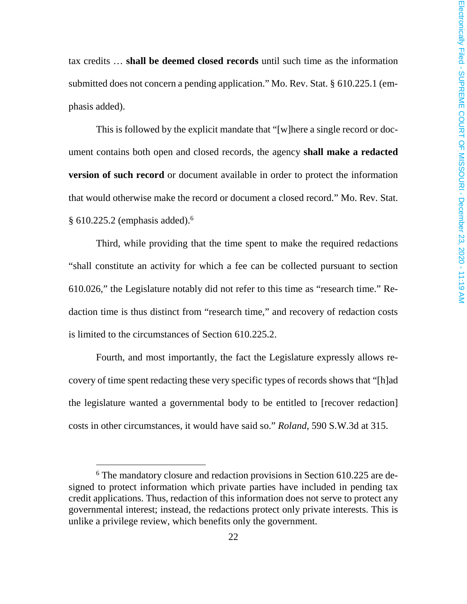tax credits … **shall be deemed closed records** until such time as the information submitted does not concern a pending application." Mo. Rev. Stat. § 610.225.1 (emphasis added).

This is followed by the explicit mandate that "[w]here a single record or document contains both open and closed records, the agency **shall make a redacted version of such record** or document available in order to protect the information that would otherwise make the record or document a closed record." Mo. Rev. Stat. § 610.225.2 (emphasis added).<sup>6</sup>

Third, while providing that the time spent to make the required redactions "shall constitute an activity for which a fee can be collected pursuant to section 610.026," the Legislature notably did not refer to this time as "research time." Redaction time is thus distinct from "research time," and recovery of redaction costs is limited to the circumstances of Section 610.225.2.

Fourth, and most importantly, the fact the Legislature expressly allows recovery of time spent redacting these very specific types of records shows that "[h]ad the legislature wanted a governmental body to be entitled to [recover redaction] costs in other circumstances, it would have said so." *Roland*, 590 S.W.3d at 315.

<sup>&</sup>lt;sup>6</sup> The mandatory closure and redaction provisions in Section 610.225 are designed to protect information which private parties have included in pending tax credit applications. Thus, redaction of this information does not serve to protect any governmental interest; instead, the redactions protect only private interests. This is unlike a privilege review, which benefits only the government.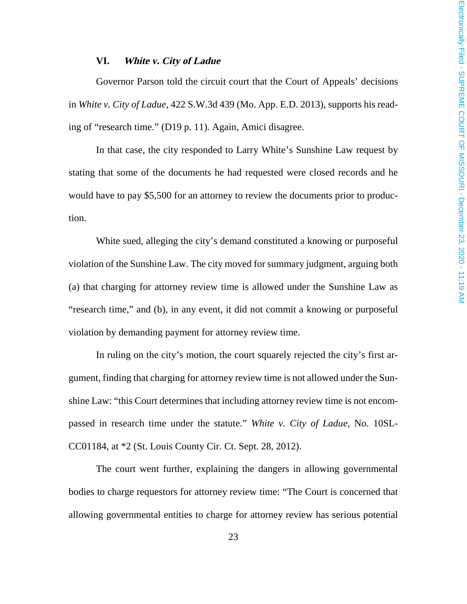#### **VI. White v. City of Ladue**

Governor Parson told the circuit court that the Court of Appeals' decisions in *White v. City of Ladue*, 422 S.W.3d 439 (Mo. App. E.D. 2013), supports his reading of "research time." (D19 p. 11). Again, Amici disagree.

In that case, the city responded to Larry White's Sunshine Law request by stating that some of the documents he had requested were closed records and he would have to pay \$5,500 for an attorney to review the documents prior to production.

White sued, alleging the city's demand constituted a knowing or purposeful violation of the Sunshine Law. The city moved for summary judgment, arguing both (a) that charging for attorney review time is allowed under the Sunshine Law as "research time," and (b), in any event, it did not commit a knowing or purposeful violation by demanding payment for attorney review time.

In ruling on the city's motion, the court squarely rejected the city's first argument, finding that charging for attorney review time is not allowed under the Sunshine Law: "this Court determines that including attorney review time is not encompassed in research time under the statute." *White v. City of Ladue*, No. 10SL-CC01184, at \*2 (St. Louis County Cir. Ct. Sept. 28, 2012).

The court went further, explaining the dangers in allowing governmental bodies to charge requestors for attorney review time: "The Court is concerned that allowing governmental entities to charge for attorney review has serious potential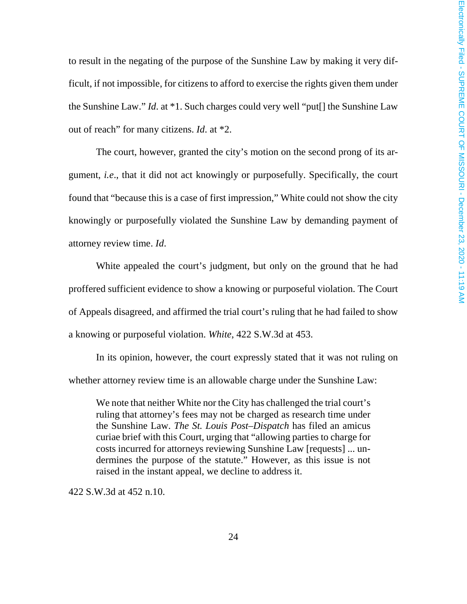to result in the negating of the purpose of the Sunshine Law by making it very difficult, if not impossible, for citizens to afford to exercise the rights given them under the Sunshine Law." *Id*. at \*1. Such charges could very well "put[] the Sunshine Law out of reach" for many citizens. *Id*. at \*2.

The court, however, granted the city's motion on the second prong of its argument, *i.e*., that it did not act knowingly or purposefully. Specifically, the court found that "because this is a case of first impression," White could not show the city knowingly or purposefully violated the Sunshine Law by demanding payment of attorney review time. *Id*.

White appealed the court's judgment, but only on the ground that he had proffered sufficient evidence to show a knowing or purposeful violation. The Court of Appeals disagreed, and affirmed the trial court's ruling that he had failed to show a knowing or purposeful violation. *White*, 422 S.W.3d at 453.

In its opinion, however, the court expressly stated that it was not ruling on whether attorney review time is an allowable charge under the Sunshine Law:

We note that neither White nor the City has challenged the trial court's ruling that attorney's fees may not be charged as research time under the Sunshine Law. *The St. Louis Post–Dispatch* has filed an amicus curiae brief with this Court, urging that "allowing parties to charge for costs incurred for attorneys reviewing Sunshine Law [requests] ... undermines the purpose of the statute." However, as this issue is not raised in the instant appeal, we decline to address it.

422 S.W.3d at 452 n.10.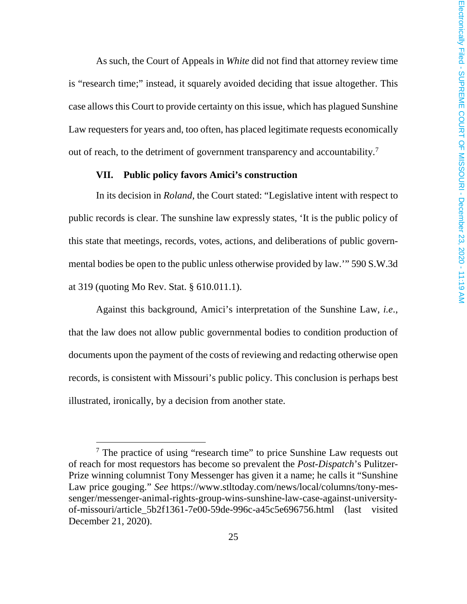As such, the Court of Appeals in *White* did not find that attorney review time is "research time;" instead, it squarely avoided deciding that issue altogether. This case allows this Court to provide certainty on this issue, which has plagued Sunshine Law requesters for years and, too often, has placed legitimate requests economically out of reach, to the detriment of government transparency and accountability.<sup>7</sup>

#### **VII. Public policy favors Amici's construction**

In its decision in *Roland*, the Court stated: "Legislative intent with respect to public records is clear. The sunshine law expressly states, 'It is the public policy of this state that meetings, records, votes, actions, and deliberations of public governmental bodies be open to the public unless otherwise provided by law.'" 590 S.W.3d at 319 (quoting Mo Rev. Stat. § 610.011.1).

Against this background, Amici's interpretation of the Sunshine Law, *i.e*., that the law does not allow public governmental bodies to condition production of documents upon the payment of the costs of reviewing and redacting otherwise open records, is consistent with Missouri's public policy. This conclusion is perhaps best illustrated, ironically, by a decision from another state.

<sup>&</sup>lt;sup>7</sup> The practice of using "research time" to price Sunshine Law requests out of reach for most requestors has become so prevalent the *Post-Dispatch*'s Pulitzer-Prize winning columnist Tony Messenger has given it a name; he calls it "Sunshine Law price gouging." *See* https://www.stltoday.com/news/local/columns/tony-messenger/messenger-animal-rights-group-wins-sunshine-law-case-against-universityof-missouri/article\_5b2f1361-7e00-59de-996c-a45c5e696756.html (last visited December 21, 2020).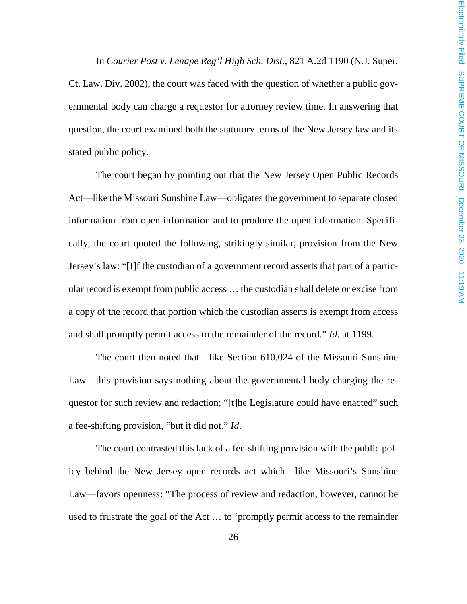In *Courier Post v. Lenape Reg'l High Sch. Dist*., 821 A.2d 1190 (N.J. Super. Ct. Law. Div. 2002), the court was faced with the question of whether a public governmental body can charge a requestor for attorney review time. In answering that question, the court examined both the statutory terms of the New Jersey law and its stated public policy.

The court began by pointing out that the New Jersey Open Public Records Act—like the Missouri Sunshine Law—obligates the government to separate closed information from open information and to produce the open information. Specifically, the court quoted the following, strikingly similar, provision from the New Jersey's law: "[I]f the custodian of a government record asserts that part of a particular record is exempt from public access … the custodian shall delete or excise from a copy of the record that portion which the custodian asserts is exempt from access and shall promptly permit access to the remainder of the record." *Id*. at 1199.

The court then noted that—like Section 610.024 of the Missouri Sunshine Law—this provision says nothing about the governmental body charging the requestor for such review and redaction; "[t]he Legislature could have enacted" such a fee-shifting provision, "but it did not." *Id*.

The court contrasted this lack of a fee-shifting provision with the public policy behind the New Jersey open records act which—like Missouri's Sunshine Law—favors openness: "The process of review and redaction, however, cannot be used to frustrate the goal of the Act … to 'promptly permit access to the remainder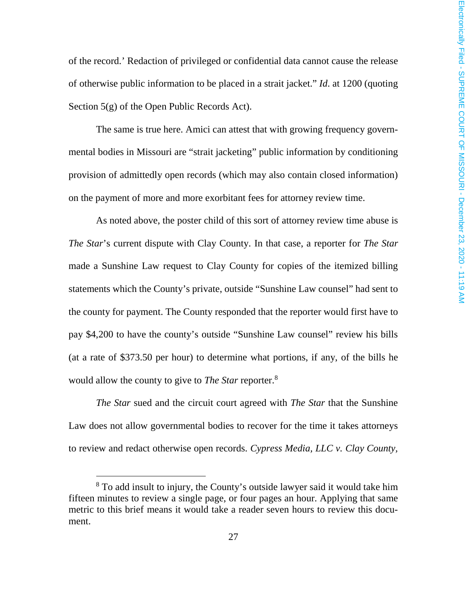of the record.' Redaction of privileged or confidential data cannot cause the release of otherwise public information to be placed in a strait jacket." *Id*. at 1200 (quoting Section 5(g) of the Open Public Records Act).

The same is true here. Amici can attest that with growing frequency governmental bodies in Missouri are "strait jacketing" public information by conditioning provision of admittedly open records (which may also contain closed information) on the payment of more and more exorbitant fees for attorney review time.

As noted above, the poster child of this sort of attorney review time abuse is *The Star*'s current dispute with Clay County. In that case, a reporter for *The Star* made a Sunshine Law request to Clay County for copies of the itemized billing statements which the County's private, outside "Sunshine Law counsel" had sent to the county for payment. The County responded that the reporter would first have to pay \$4,200 to have the county's outside "Sunshine Law counsel" review his bills (at a rate of \$373.50 per hour) to determine what portions, if any, of the bills he would allow the county to give to *The Star* reporter.<sup>8</sup>

*The Star* sued and the circuit court agreed with *The Star* that the Sunshine Law does not allow governmental bodies to recover for the time it takes attorneys to review and redact otherwise open records. *Cypress Media, LLC v. Clay County,* 

<sup>&</sup>lt;sup>8</sup> To add insult to injury, the County's outside lawyer said it would take him fifteen minutes to review a single page, or four pages an hour. Applying that same metric to this brief means it would take a reader seven hours to review this document.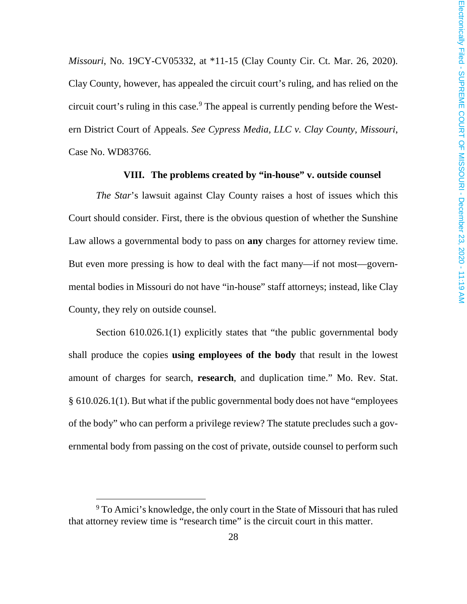*Missouri*, No. 19CY-CV05332, at \*11-15 (Clay County Cir. Ct. Mar. 26, 2020). Clay County, however, has appealed the circuit court's ruling, and has relied on the circuit court's ruling in this case.<sup>9</sup> The appeal is currently pending before the Western District Court of Appeals. *See Cypress Media, LLC v. Clay County, Missouri*, Case No. WD83766.

#### **VIII. The problems created by "in-house" v. outside counsel**

*The Star*'s lawsuit against Clay County raises a host of issues which this Court should consider. First, there is the obvious question of whether the Sunshine Law allows a governmental body to pass on **any** charges for attorney review time. But even more pressing is how to deal with the fact many—if not most—governmental bodies in Missouri do not have "in-house" staff attorneys; instead, like Clay County, they rely on outside counsel.

Section 610.026.1(1) explicitly states that "the public governmental body shall produce the copies **using employees of the body** that result in the lowest amount of charges for search, **research**, and duplication time." Mo. Rev. Stat. § 610.026.1(1). But what if the public governmental body does not have "employees of the body" who can perform a privilege review? The statute precludes such a governmental body from passing on the cost of private, outside counsel to perform such

<sup>&</sup>lt;sup>9</sup> To Amici's knowledge, the only court in the State of Missouri that has ruled that attorney review time is "research time" is the circuit court in this matter.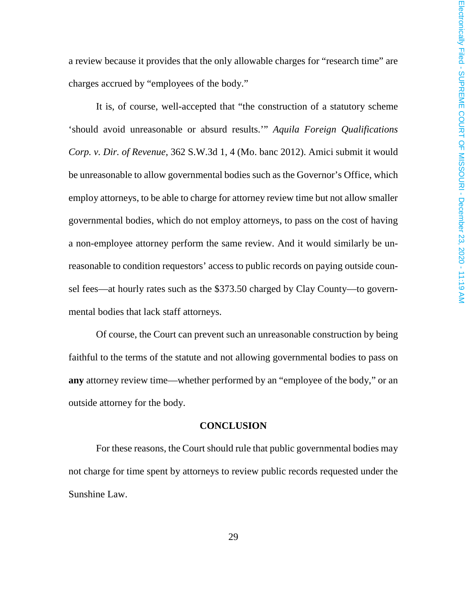a review because it provides that the only allowable charges for "research time" are charges accrued by "employees of the body."

It is, of course, well-accepted that "the construction of a statutory scheme 'should avoid unreasonable or absurd results.'" *Aquila Foreign Qualifications Corp. v. Dir. of Revenue*, 362 S.W.3d 1, 4 (Mo. banc 2012). Amici submit it would be unreasonable to allow governmental bodies such as the Governor's Office, which employ attorneys, to be able to charge for attorney review time but not allow smaller governmental bodies, which do not employ attorneys, to pass on the cost of having a non-employee attorney perform the same review. And it would similarly be unreasonable to condition requestors' access to public records on paying outside counsel fees—at hourly rates such as the \$373.50 charged by Clay County—to governmental bodies that lack staff attorneys.

Of course, the Court can prevent such an unreasonable construction by being faithful to the terms of the statute and not allowing governmental bodies to pass on **any** attorney review time—whether performed by an "employee of the body," or an outside attorney for the body.

#### **CONCLUSION**

For these reasons, the Court should rule that public governmental bodies may not charge for time spent by attorneys to review public records requested under the Sunshine Law.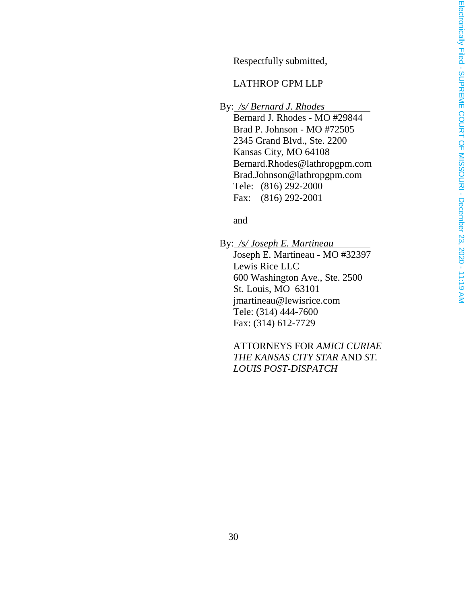Respectfully submitted,

#### LATHROP GPM LLP

By: */s/ Bernard J. Rhodes*

Bernard J. Rhodes - MO #29844 Brad P. Johnson - MO #72505 2345 Grand Blvd., Ste. 2200 Kansas City, MO 64108 Bernard.Rhodes@lathropgpm.com Brad.Johnson@lathropgpm.com Tele: (816) 292-2000 Fax: (816) 292-2001

and

By: */s/ Joseph E. Martineau* Joseph E. Martineau - MO #32397 Lewis Rice LLC 600 Washington Ave., Ste. 2500 St. Louis, MO 63101 jmartineau@lewisrice.com Tele: (314) 444-7600 Fax: (314) 612-7729

ATTORNEYS FOR *AMICI CURIAE THE KANSAS CITY STAR* AND *ST. LOUIS POST-DISPATCH*